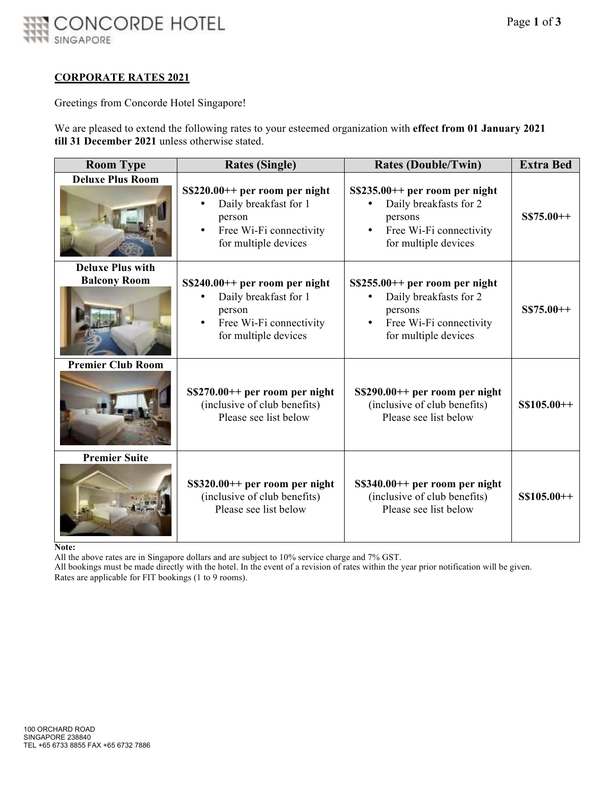

#### **CORPORATE RATES 2021**

Greetings from Concorde Hotel Singapore!

We are pleased to extend the following rates to your esteemed organization with **effect from 01 January 2021 till 31 December 2021** unless otherwise stated.

| <b>Room Type</b>                               | <b>Rates (Single)</b>                                                                                                 | <b>Rates (Double/Twin)</b>                                                                                              | <b>Extra Bed</b> |
|------------------------------------------------|-----------------------------------------------------------------------------------------------------------------------|-------------------------------------------------------------------------------------------------------------------------|------------------|
| <b>Deluxe Plus Room</b>                        | $S$220.00++$ per room per night<br>Daily breakfast for 1<br>person<br>Free Wi-Fi connectivity<br>for multiple devices | $S$235.00++$ per room per night<br>Daily breakfasts for 2<br>persons<br>Free Wi-Fi connectivity<br>for multiple devices | $S$75.00++$      |
| <b>Deluxe Plus with</b><br><b>Balcony Room</b> | $S$240.00++$ per room per night<br>Daily breakfast for 1<br>person<br>Free Wi-Fi connectivity<br>for multiple devices | $S$255.00++$ per room per night<br>Daily breakfasts for 2<br>persons<br>Free Wi-Fi connectivity<br>for multiple devices | $S$75.00++$      |
| <b>Premier Club Room</b>                       | $S$270.00++$ per room per night<br>(inclusive of club benefits)<br>Please see list below                              | $S$290.00++$ per room per night<br>(inclusive of club benefits)<br>Please see list below                                | $S$105.00++$     |
| <b>Premier Suite</b>                           | $S\$ 320.00++ per room per night<br>(inclusive of club benefits)<br>Please see list below                             | $S\$ 340.00++ per room per night<br>(inclusive of club benefits)<br>Please see list below                               | $S$105.00++$     |

**Note:**

All the above rates are in Singapore dollars and are subject to 10% service charge and 7% GST.

All bookings must be made directly with the hotel. In the event of a revision of rates within the year prior notification will be given. Rates are applicable for FIT bookings (1 to 9 rooms).

SINGAPORE.CONCORDEHOTELSRESORTS.COM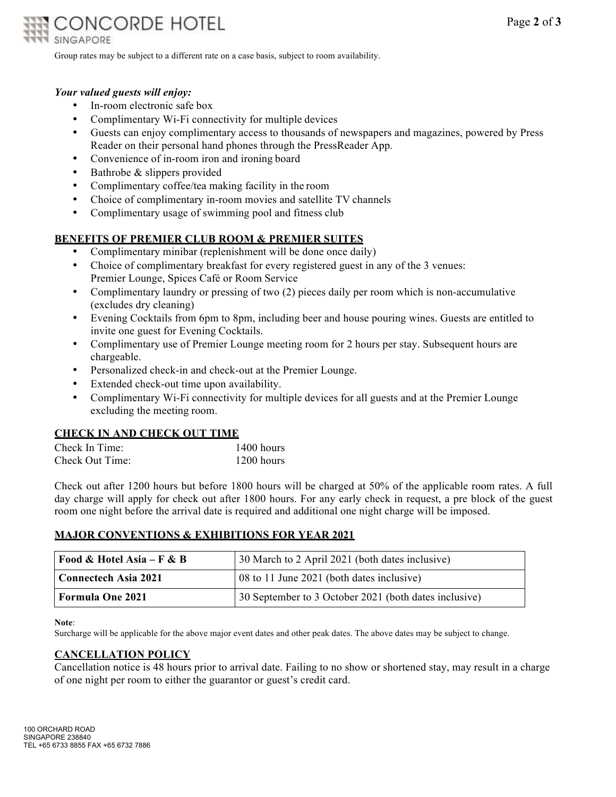

Group rates may be subject to a different rate on a case basis, subject to room availability.

### *Your valued guests will enjoy:*

- In-room electronic safe box
- Complimentary Wi-Fi connectivity for multiple devices
- Guests can enjoy complimentary access to thousands of newspapers and magazines, powered by Press Reader on their personal hand phones through the PressReader App.
- Convenience of in-room iron and ironing board
- Bathrobe & slippers provided
- Complimentary coffee/tea making facility in the room
- Choice of complimentary in-room movies and satellite TV channels
- Complimentary usage of swimming pool and fitness club

## **BENEFITS OF PREMIER CLUB ROOM & PREMIER SUITES**

- Complimentary minibar (replenishment will be done once daily)
- Choice of complimentary breakfast for every registered guest in any of the 3 venues: Premier Lounge, Spices Café or Room Service
- Complimentary laundry or pressing of two (2) pieces daily per room which is non-accumulative (excludes dry cleaning)
- Evening Cocktails from 6pm to 8pm, including beer and house pouring wines. Guests are entitled to invite one guest for Evening Cocktails.
- Complimentary use of Premier Lounge meeting room for 2 hours per stay. Subsequent hours are chargeable.
- Personalized check-in and check-out at the Premier Lounge.
- Extended check-out time upon availability.
- Complimentary Wi-Fi connectivity for multiple devices for all guests and at the Premier Lounge excluding the meeting room.

#### **CHECK IN AND CHECK OUT TIME**

| Check In Time:  | $1400$ hours |
|-----------------|--------------|
| Check Out Time: | $1200$ hours |

Check out after 1200 hours but before 1800 hours will be charged at 50% of the applicable room rates. A full day charge will apply for check out after 1800 hours. For any early check in request, a pre block of the guest room one night before the arrival date is required and additional one night charge will be imposed.

## **MAJOR CONVENTIONS & EXHIBITIONS FOR YEAR 2021**

| Food & Hotel Asia – F & B   | 30 March to 2 April 2021 (both dates inclusive)       |
|-----------------------------|-------------------------------------------------------|
| <b>Connectech Asia 2021</b> | $08$ to 11 June 2021 (both dates inclusive)           |
| Formula One 2021            | 30 September to 3 October 2021 (both dates inclusive) |

**Note**:

Surcharge will be applicable for the above major event dates and other peak dates. The above dates may be subject to change.

#### **CANCELLATION POLICY**

Cancellation notice is 48 hours prior to arrival date. Failing to no show or shortened stay, may result in a charge of one night per room to either the guarantor or guest's credit card.

100 ORCHARD ROAD SINGAPORE 238840 TEL +65 6733 8855 FAX +65 6732 7886

SINGAPORE.CONCORDEHOTELSRESORTS.COM